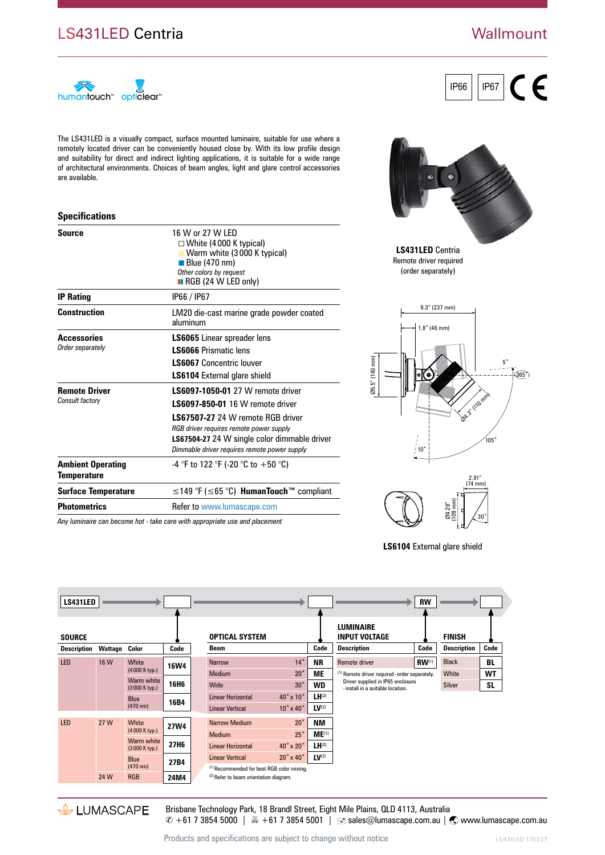## LS431LED Centria

### **Wallmount**



The LS431LED is a visually compact, surface mounted luminaire, suitable for use where a remotely located driver can be conveniently housed close by. With its low profile design and suitability for direct and indirect lighting applications, it is suitable for a wide range of architectural environments. Choices of beam angles, light and glare control accessories are available.

#### **Specifications**

| <b>Source</b>                           | 16 W or 27 W LED<br>$\Box$ White (4000 K typical)<br>Warm white (3000 K typical)<br>$\blacksquare$ Blue (470 nm)<br>Other colors by request<br>$\blacksquare$ RGB (24 W LED only)                                                                            |
|-----------------------------------------|--------------------------------------------------------------------------------------------------------------------------------------------------------------------------------------------------------------------------------------------------------------|
| <b>IP Rating</b>                        | IP66 / IP67                                                                                                                                                                                                                                                  |
| <b>Construction</b>                     | LM20 die-cast marine grade powder coated<br>aluminum                                                                                                                                                                                                         |
| <b>Accessories</b><br>Order separately  | <b>LS6065</b> Linear spreader lens<br><b>LS6066 Prismatic lens</b><br><b>LS6067</b> Concentric louver<br><b>LS6104</b> External glare shield                                                                                                                 |
| <b>Remote Driver</b><br>Consult factory | LS6097-1050-01 27 W remote driver<br><b>LS6097-850-01</b> 16 W remote driver<br>LS67507-27 24 W remote RGB driver<br>RGB driver requires remote power supply<br>LS67504-27 24 W single color dimmable driver<br>Dimmable driver requires remote power supply |
| <b>Ambient Operating</b><br>Temperature | -4 °F to 122 °F (-20 °C to +50 °C)                                                                                                                                                                                                                           |
| <b>Surface Temperature</b>              | $\leq$ 149 °F ( $\leq$ 65 °C) <b>HumanTouch</b> ™ compliant                                                                                                                                                                                                  |
| <b>Photometrics</b>                     | Refer to www.lumascape.com                                                                                                                                                                                                                                   |

*Any luminaire can become hot - take care with appropriate use and placement*



IP66 | | IP67

**LS431LED** Centria Remote driver required (order separately)





**LS6104** External glare shield

| LS431LED      |         |                                           |                  |                        |                                                                                                            |                            |            |                                                                                                                         | <b>RW</b>  |                    |           |
|---------------|---------|-------------------------------------------|------------------|------------------------|------------------------------------------------------------------------------------------------------------|----------------------------|------------|-------------------------------------------------------------------------------------------------------------------------|------------|--------------------|-----------|
| <b>SOURCE</b> |         |                                           |                  |                        | <b>OPTICAL SYSTEM</b>                                                                                      |                            |            | <b>LUMINAIRE</b><br><b>INPUT VOLTAGE</b>                                                                                |            | <b>FINISH</b>      |           |
| Description   | Wattage | Color                                     | Code             |                        | <b>Beam</b>                                                                                                |                            | Code       | <b>Description</b>                                                                                                      | Code       | <b>Description</b> | Code      |
| <b>LED</b>    | 16 W    | White<br>(4000 K typ.)                    | <b>16W4</b>      |                        | <b>Narrow</b>                                                                                              | $14^\circ$                 | <b>NR</b>  | Remote driver                                                                                                           | $RW^{(1)}$ | <b>Black</b>       | BL        |
|               |         |                                           |                  |                        | <b>Medium</b>                                                                                              | $20^{\circ}$               | ME         | (1) Remote driver required - order separately.<br>Driver supplied in IP65 enclosure<br>-install in a suitable location. | White      | WT                 |           |
|               |         | Warm white<br>(3000 K typ.)               | 16H <sub>6</sub> |                        | Wide                                                                                                       | $30^\circ$                 | <b>WD</b>  |                                                                                                                         |            | <b>Silver</b>      | <b>SL</b> |
|               |         | <b>Blue</b><br>16B4<br>$(470 \text{ nm})$ |                  |                        | <b>Linear Horizontal</b>                                                                                   | $40^\circ \times 10^\circ$ | $LH^{(2)}$ |                                                                                                                         |            |                    |           |
|               |         |                                           |                  | <b>Linear Vertical</b> | $10^\circ \times 40^\circ$                                                                                 | $LV^{(2)}$                 |            |                                                                                                                         |            |                    |           |
| <b>LED</b>    | 27 W    | White                                     | <b>27W4</b>      | <b>Narrow Medium</b>   | $20^\circ$                                                                                                 | ΝM                         |            |                                                                                                                         |            |                    |           |
|               |         | (4000 K typ.)                             |                  |                        | <b>Medium</b>                                                                                              | $25^\circ$                 | $ME^{(1)}$ |                                                                                                                         |            |                    |           |
|               |         | Warm white<br>(3000 K typ.)               | 27H <sub>6</sub> |                        | <b>Linear Horizontal</b>                                                                                   | $40^\circ \times 20^\circ$ | $LH^{(2)}$ |                                                                                                                         |            |                    |           |
|               |         | <b>Blue</b><br>$(470 \text{ nm})$         | 27B4             |                        | <b>Linear Vertical</b>                                                                                     | $20^\circ \times 40^\circ$ | $LV^{(2)}$ |                                                                                                                         |            |                    |           |
|               | 24 W    | <b>RGB</b>                                | 24M4             |                        | <sup>(1)</sup> Recommended for best RGB color mixing.<br><sup>(2)</sup> Refer to beam orientation diagram. |                            |            |                                                                                                                         |            |                    |           |



Brisbane Technology Park, 18 Brandl Street, Eight Mile Plains, QLD 4113, Australia  $\degree$  +61 7 3854 5000 |  $\text{B}$  +61 7 3854 5001 |  $\text{C}$  sales@lumascape.com.au |  $\text{C}$  www.lumascape.com.au